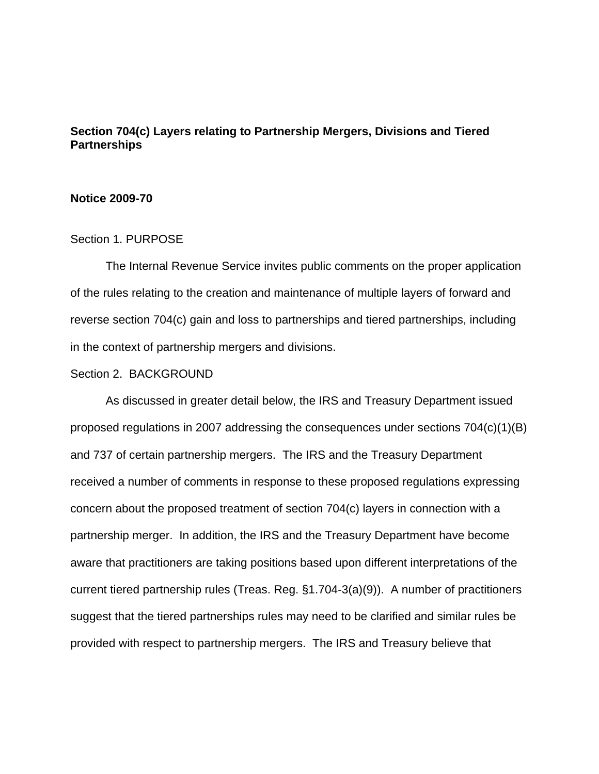# **Section 704(c) Layers relating to Partnership Mergers, Divisions and Tiered Partnerships**

### **Notice 2009-70**

## Section 1. PURPOSE

The Internal Revenue Service invites public comments on the proper application of the rules relating to the creation and maintenance of multiple layers of forward and reverse section 704(c) gain and loss to partnerships and tiered partnerships, including in the context of partnership mergers and divisions.

### Section 2. BACKGROUND

As discussed in greater detail below, the IRS and Treasury Department issued proposed regulations in 2007 addressing the consequences under sections 704(c)(1)(B) and 737 of certain partnership mergers. The IRS and the Treasury Department received a number of comments in response to these proposed regulations expressing concern about the proposed treatment of section 704(c) layers in connection with a partnership merger. In addition, the IRS and the Treasury Department have become aware that practitioners are taking positions based upon different interpretations of the current tiered partnership rules (Treas. Reg. §1.704-3(a)(9)). A number of practitioners suggest that the tiered partnerships rules may need to be clarified and similar rules be provided with respect to partnership mergers. The IRS and Treasury believe that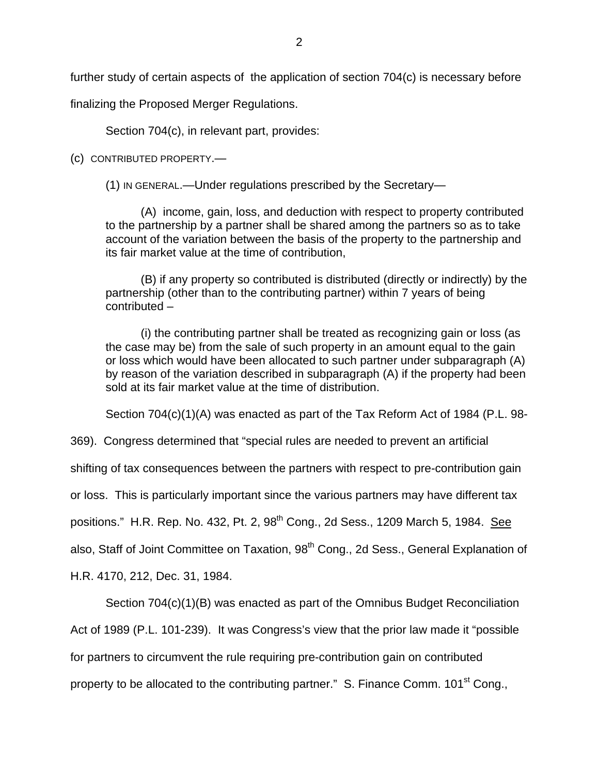finalizing the Proposed Merger Regulations.

Section 704(c), in relevant part, provides:

(c) CONTRIBUTED PROPERTY.—

(1) IN GENERAL.—Under regulations prescribed by the Secretary—

(A) income, gain, loss, and deduction with respect to property contributed to the partnership by a partner shall be shared among the partners so as to take account of the variation between the basis of the property to the partnership and its fair market value at the time of contribution,

(B) if any property so contributed is distributed (directly or indirectly) by the partnership (other than to the contributing partner) within 7 years of being contributed –

(i) the contributing partner shall be treated as recognizing gain or loss (as the case may be) from the sale of such property in an amount equal to the gain or loss which would have been allocated to such partner under subparagraph (A) by reason of the variation described in subparagraph (A) if the property had been sold at its fair market value at the time of distribution.

Section 704(c)(1)(A) was enacted as part of the Tax Reform Act of 1984 (P.L. 98-

369). Congress determined that "special rules are needed to prevent an artificial

shifting of tax consequences between the partners with respect to pre-contribution gain

or loss. This is particularly important since the various partners may have different tax

positions." H.R. Rep. No. 432, Pt. 2, 98<sup>th</sup> Cong., 2d Sess., 1209 March 5, 1984. See

also, Staff of Joint Committee on Taxation, 98<sup>th</sup> Cong., 2d Sess., General Explanation of

H.R. 4170, 212, Dec. 31, 1984.

Section 704(c)(1)(B) was enacted as part of the Omnibus Budget Reconciliation

Act of 1989 (P.L. 101-239). It was Congress's view that the prior law made it "possible

for partners to circumvent the rule requiring pre-contribution gain on contributed

property to be allocated to the contributing partner." S. Finance Comm. 101<sup>st</sup> Cong.,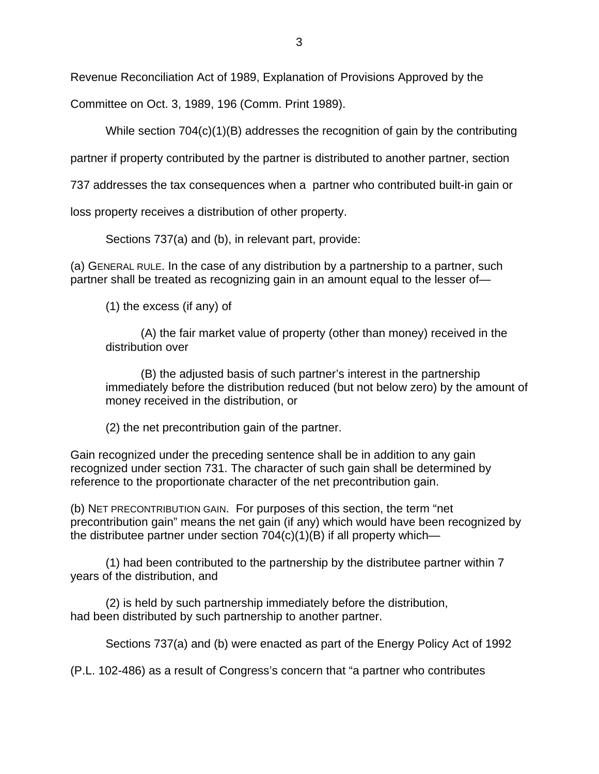Revenue Reconciliation Act of 1989, Explanation of Provisions Approved by the

Committee on Oct. 3, 1989, 196 (Comm. Print 1989).

While section 704(c)(1)(B) addresses the recognition of gain by the contributing

partner if property contributed by the partner is distributed to another partner, section

737 addresses the tax consequences when a partner who contributed built-in gain or

loss property receives a distribution of other property.

Sections 737(a) and (b), in relevant part, provide:

(a) GENERAL RULE. In the case of any distribution by a partnership to a partner, such partner shall be treated as recognizing gain in an amount equal to the lesser of—

(1) the excess (if any) of

(A) the fair market value of property (other than money) received in the distribution over

(B) the adjusted basis of such partner's interest in the partnership immediately before the distribution reduced (but not below zero) by the amount of money received in the distribution, or

(2) the net precontribution gain of the partner.

Gain recognized under the preceding sentence shall be in addition to any gain recognized under section 731. The character of such gain shall be determined by reference to the proportionate character of the net precontribution gain.

(b) NET PRECONTRIBUTION GAIN. For purposes of this section, the term "net precontribution gain" means the net gain (if any) which would have been recognized by the distributee partner under section  $704(c)(1)(B)$  if all property which—

(1) had been contributed to the partnership by the distributee partner within 7 years of the distribution, and

(2) is held by such partnership immediately before the distribution, had been distributed by such partnership to another partner.

Sections 737(a) and (b) were enacted as part of the Energy Policy Act of 1992

(P.L. 102-486) as a result of Congress's concern that "a partner who contributes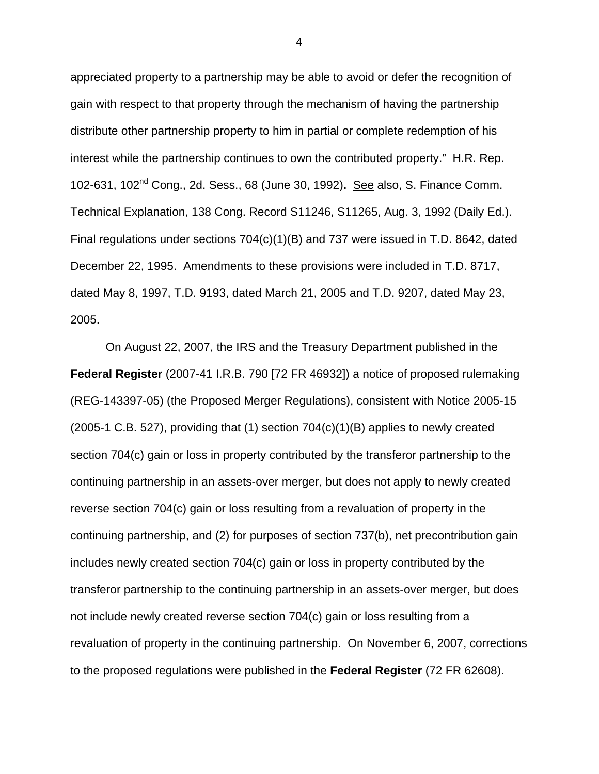appreciated property to a partnership may be able to avoid or defer the recognition of gain with respect to that property through the mechanism of having the partnership distribute other partnership property to him in partial or complete redemption of his interest while the partnership continues to own the contributed property." H.R. Rep. 102-631, 102nd Cong., 2d. Sess., 68 (June 30, 1992)**.** See also, S. Finance Comm. Technical Explanation, 138 Cong. Record S11246, S11265, Aug. 3, 1992 (Daily Ed.). Final regulations under sections 704(c)(1)(B) and 737 were issued in T.D. 8642, dated December 22, 1995. Amendments to these provisions were included in T.D. 8717, dated May 8, 1997, T.D. 9193, dated March 21, 2005 and T.D. 9207, dated May 23, 2005.

On August 22, 2007, the IRS and the Treasury Department published in the **Federal Register** (2007-41 I.R.B. 790 [72 FR 46932]) a notice of proposed rulemaking (REG-143397-05) (the Proposed Merger Regulations), consistent with Notice 2005-15  $(2005-1 \text{ C.B. } 527)$ , providing that  $(1)$  section  $704(c)(1)(B)$  applies to newly created section 704(c) gain or loss in property contributed by the transferor partnership to the continuing partnership in an assets-over merger, but does not apply to newly created reverse section 704(c) gain or loss resulting from a revaluation of property in the continuing partnership, and (2) for purposes of section 737(b), net precontribution gain includes newly created section 704(c) gain or loss in property contributed by the transferor partnership to the continuing partnership in an assets-over merger, but does not include newly created reverse section 704(c) gain or loss resulting from a revaluation of property in the continuing partnership. On November 6, 2007, corrections to the proposed regulations were published in the **Federal Register** (72 FR 62608).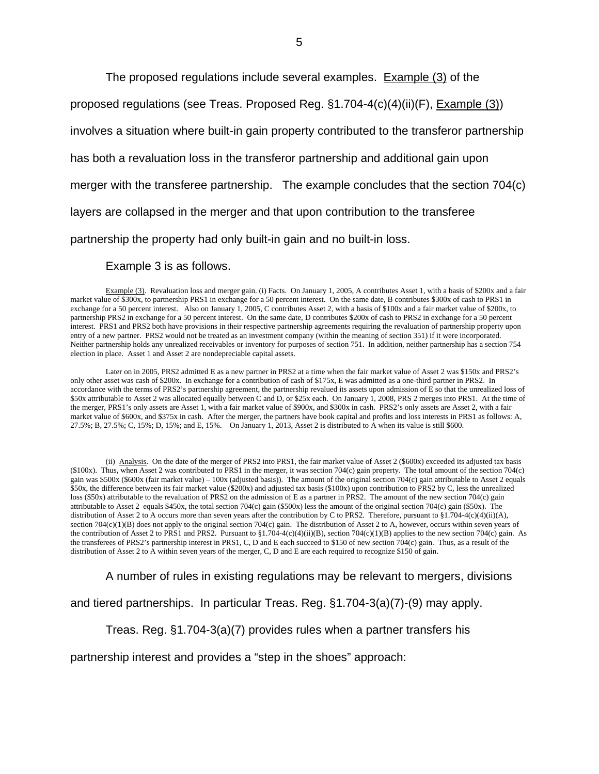The proposed regulations include several examples. Example (3) of the

proposed regulations (see Treas. Proposed Reg. §1.704-4(c)(4)(ii)(F), Example (3))

involves a situation where built-in gain property contributed to the transferor partnership

has both a revaluation loss in the transferor partnership and additional gain upon

merger with the transferee partnership. The example concludes that the section 704(c)

layers are collapsed in the merger and that upon contribution to the transferee

partnership the property had only built-in gain and no built-in loss.

Example 3 is as follows.

Example (3). Revaluation loss and merger gain. (i) Facts. On January 1, 2005, A contributes Asset 1, with a basis of \$200x and a fair market value of \$300x, to partnership PRS1 in exchange for a 50 percent interest. On the same date, B contributes \$300x of cash to PRS1 in exchange for a 50 percent interest. Also on January 1, 2005, C contributes Asset 2, with a basis of \$100x and a fair market value of \$200x, to partnership PRS2 in exchange for a 50 percent interest. On the same date, D contributes \$200x of cash to PRS2 in exchange for a 50 percent interest. PRS1 and PRS2 both have provisions in their respective partnership agreements requiring the revaluation of partnership property upon entry of a new partner. PRS2 would not be treated as an investment company (within the meaning of section 351) if it were incorporated. Neither partnership holds any unrealized receivables or inventory for purposes of section 751. In addition, neither partnership has a section 754 election in place. Asset 1 and Asset 2 are nondepreciable capital assets.

Later on in 2005, PRS2 admitted E as a new partner in PRS2 at a time when the fair market value of Asset 2 was \$150x and PRS2's only other asset was cash of \$200x. In exchange for a contribution of cash of \$175x, E was admitted as a one-third partner in PRS2. In accordance with the terms of PRS2's partnership agreement, the partnership revalued its assets upon admission of E so that the unrealized loss of \$50x attributable to Asset 2 was allocated equally between C and D, or \$25x each. On January 1, 2008, PRS 2 merges into PRS1. At the time of the merger, PRS1's only assets are Asset 1, with a fair market value of \$900x, and \$300x in cash. PRS2's only assets are Asset 2, with a fair market value of \$600x, and \$375x in cash. After the merger, the partners have book capital and profits and loss interests in PRS1 as follows: A, 27.5%; B, 27.5%; C, 15%; D, 15%; and E, 15%. On January 1, 2013, Asset 2 is distributed to A when its value is still \$600.

(ii) Analysis. On the date of the merger of PRS2 into PRS1, the fair market value of Asset 2 (\$600x) exceeded its adjusted tax basis (\$100x). Thus, when Asset 2 was contributed to PRS1 in the merger, it was section 704(c) gain property. The total amount of the section 704(c) gain was \$500x (\$600x (fair market value) – 100x (adjusted basis)). The amount of the original section 704(c) gain attributable to Asset 2 equals \$50x, the difference between its fair market value (\$200x) and adjusted tax basis (\$100x) upon contribution to PRS2 by C, less the unrealized loss (\$50x) attributable to the revaluation of PRS2 on the admission of E as a partner in PRS2. The amount of the new section 704(c) gain attributable to Asset 2 equals \$450x, the total section 704(c) gain (\$500x) less the amount of the original section 704(c) gain (\$50x). The distribution of Asset 2 to A occurs more than seven years after the contribution by C to PRS2. Therefore, pursuant to §1.704-4(c)(4)(ii)(A), section  $704(c)(1)(B)$  does not apply to the original section  $704(c)$  gain. The distribution of Asset 2 to A, however, occurs within seven years of the contribution of Asset 2 to PRS1 and PRS2. Pursuant to  $\S1.704-4(c)(4)(ii)(B)$ , section 704(c)(1)(B) applies to the new section 704(c) gain. As the transferees of PRS2's partnership interest in PRS1, C, D and E each succeed to \$150 of new section 704(c) gain. Thus, as a result of the distribution of Asset 2 to A within seven years of the merger, C, D and E are each required to recognize \$150 of gain.

A number of rules in existing regulations may be relevant to mergers, divisions

and tiered partnerships. In particular Treas. Reg. §1.704-3(a)(7)-(9) may apply.

Treas. Reg. §1.704-3(a)(7) provides rules when a partner transfers his

partnership interest and provides a "step in the shoes" approach: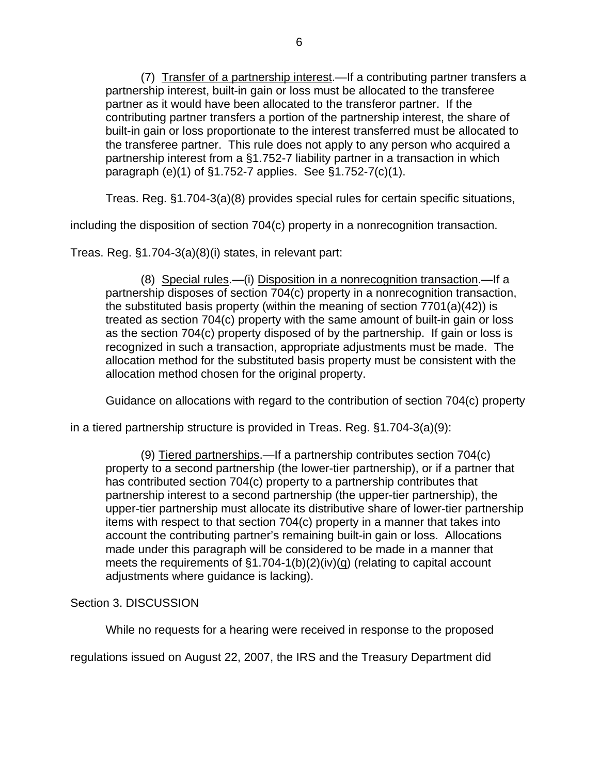(7) Transfer of a partnership interest.—If a contributing partner transfers a partnership interest, built-in gain or loss must be allocated to the transferee partner as it would have been allocated to the transferor partner. If the contributing partner transfers a portion of the partnership interest, the share of built-in gain or loss proportionate to the interest transferred must be allocated to the transferee partner. This rule does not apply to any person who acquired a partnership interest from a §1.752-7 liability partner in a transaction in which paragraph (e)(1) of §1.752-7 applies. See §1.752-7(c)(1).

Treas. Reg. §1.704-3(a)(8) provides special rules for certain specific situations,

including the disposition of section 704(c) property in a nonrecognition transaction.

Treas. Reg. §1.704-3(a)(8)(i) states, in relevant part:

(8) Special rules.—(i) Disposition in a nonrecognition transaction.—If a partnership disposes of section 704(c) property in a nonrecognition transaction, the substituted basis property (within the meaning of section 7701(a)(42)) is treated as section 704(c) property with the same amount of built-in gain or loss as the section 704(c) property disposed of by the partnership. If gain or loss is recognized in such a transaction, appropriate adjustments must be made. The allocation method for the substituted basis property must be consistent with the allocation method chosen for the original property.

Guidance on allocations with regard to the contribution of section 704(c) property

in a tiered partnership structure is provided in Treas. Reg. §1.704-3(a)(9):

(9) Tiered partnerships.—If a partnership contributes section 704(c) property to a second partnership (the lower-tier partnership), or if a partner that has contributed section 704(c) property to a partnership contributes that partnership interest to a second partnership (the upper-tier partnership), the upper-tier partnership must allocate its distributive share of lower-tier partnership items with respect to that section 704(c) property in a manner that takes into account the contributing partner's remaining built-in gain or loss. Allocations made under this paragraph will be considered to be made in a manner that meets the requirements of  $\S1.704-1(b)(2)(iv)(g)$  (relating to capital account adjustments where guidance is lacking).

# Section 3. DISCUSSION

While no requests for a hearing were received in response to the proposed

regulations issued on August 22, 2007, the IRS and the Treasury Department did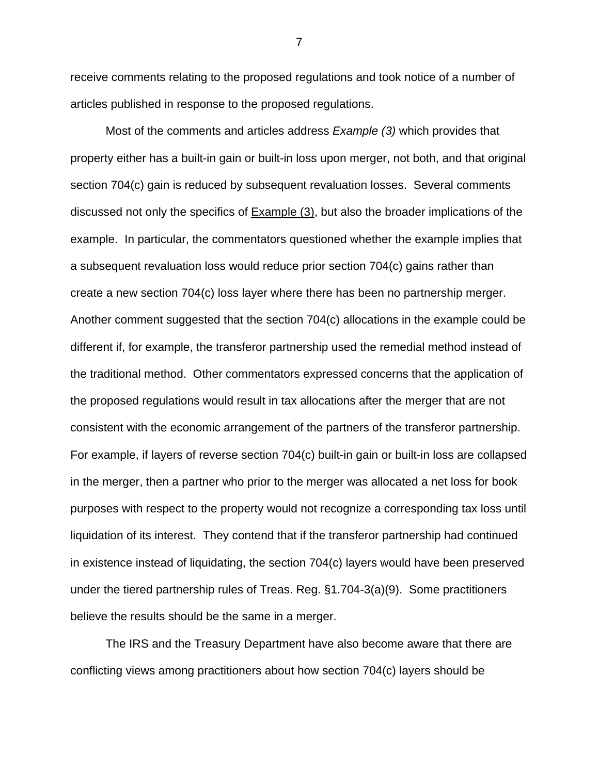receive comments relating to the proposed regulations and took notice of a number of articles published in response to the proposed regulations.

Most of the comments and articles address *Example (3)* which provides that property either has a built-in gain or built-in loss upon merger, not both, and that original section 704(c) gain is reduced by subsequent revaluation losses. Several comments discussed not only the specifics of Example (3), but also the broader implications of the example. In particular, the commentators questioned whether the example implies that a subsequent revaluation loss would reduce prior section 704(c) gains rather than create a new section 704(c) loss layer where there has been no partnership merger. Another comment suggested that the section 704(c) allocations in the example could be different if, for example, the transferor partnership used the remedial method instead of the traditional method. Other commentators expressed concerns that the application of the proposed regulations would result in tax allocations after the merger that are not consistent with the economic arrangement of the partners of the transferor partnership. For example, if layers of reverse section 704(c) built-in gain or built-in loss are collapsed in the merger, then a partner who prior to the merger was allocated a net loss for book purposes with respect to the property would not recognize a corresponding tax loss until liquidation of its interest. They contend that if the transferor partnership had continued in existence instead of liquidating, the section 704(c) layers would have been preserved under the tiered partnership rules of Treas. Reg. §1.704-3(a)(9). Some practitioners believe the results should be the same in a merger.

The IRS and the Treasury Department have also become aware that there are conflicting views among practitioners about how section 704(c) layers should be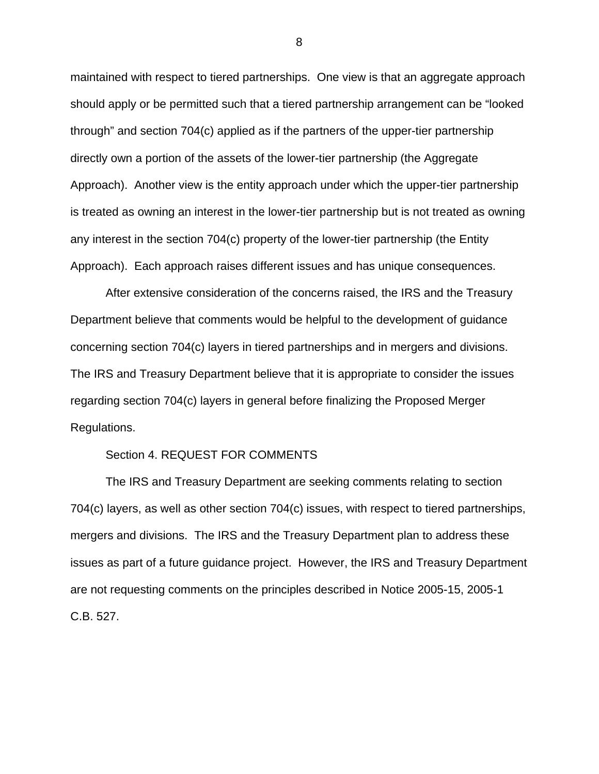maintained with respect to tiered partnerships. One view is that an aggregate approach should apply or be permitted such that a tiered partnership arrangement can be "looked through" and section 704(c) applied as if the partners of the upper-tier partnership directly own a portion of the assets of the lower-tier partnership (the Aggregate Approach). Another view is the entity approach under which the upper-tier partnership is treated as owning an interest in the lower-tier partnership but is not treated as owning any interest in the section 704(c) property of the lower-tier partnership (the Entity Approach). Each approach raises different issues and has unique consequences.

After extensive consideration of the concerns raised, the IRS and the Treasury Department believe that comments would be helpful to the development of guidance concerning section 704(c) layers in tiered partnerships and in mergers and divisions. The IRS and Treasury Department believe that it is appropriate to consider the issues regarding section 704(c) layers in general before finalizing the Proposed Merger Regulations.

#### Section 4. REQUEST FOR COMMENTS

 The IRS and Treasury Department are seeking comments relating to section 704(c) layers, as well as other section 704(c) issues, with respect to tiered partnerships, mergers and divisions. The IRS and the Treasury Department plan to address these issues as part of a future guidance project. However, the IRS and Treasury Department are not requesting comments on the principles described in Notice 2005-15, 2005-1 C.B. 527.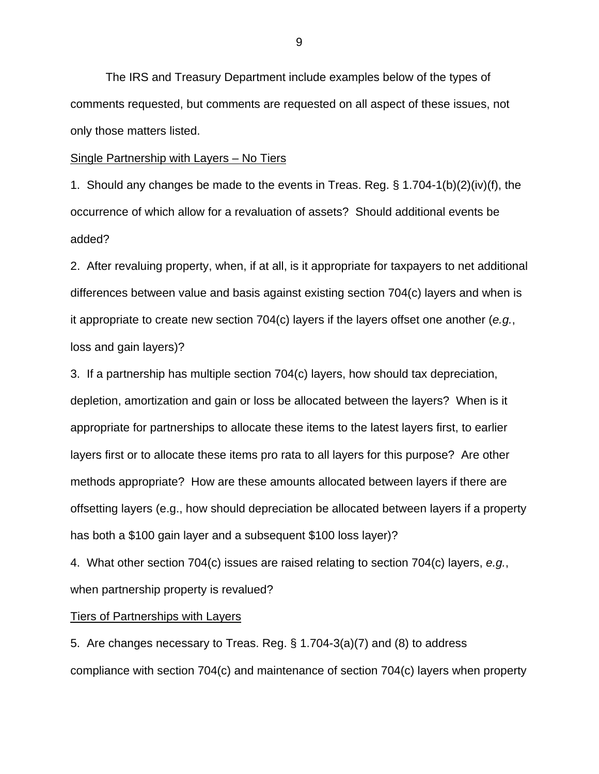The IRS and Treasury Department include examples below of the types of comments requested, but comments are requested on all aspect of these issues, not only those matters listed.

Single Partnership with Layers – No Tiers

1. Should any changes be made to the events in Treas. Reg. § 1.704-1(b)(2)(iv)(f), the occurrence of which allow for a revaluation of assets? Should additional events be added?

2. After revaluing property, when, if at all, is it appropriate for taxpayers to net additional differences between value and basis against existing section 704(c) layers and when is it appropriate to create new section 704(c) layers if the layers offset one another (*e.g.*, loss and gain layers)?

3. If a partnership has multiple section 704(c) layers, how should tax depreciation, depletion, amortization and gain or loss be allocated between the layers? When is it appropriate for partnerships to allocate these items to the latest layers first, to earlier layers first or to allocate these items pro rata to all layers for this purpose? Are other methods appropriate? How are these amounts allocated between layers if there are offsetting layers (e.g., how should depreciation be allocated between layers if a property has both a \$100 gain layer and a subsequent \$100 loss layer)?

4. What other section 704(c) issues are raised relating to section 704(c) layers, *e.g.*, when partnership property is revalued?

### **Tiers of Partnerships with Layers**

5. Are changes necessary to Treas. Reg. § 1.704-3(a)(7) and (8) to address compliance with section 704(c) and maintenance of section 704(c) layers when property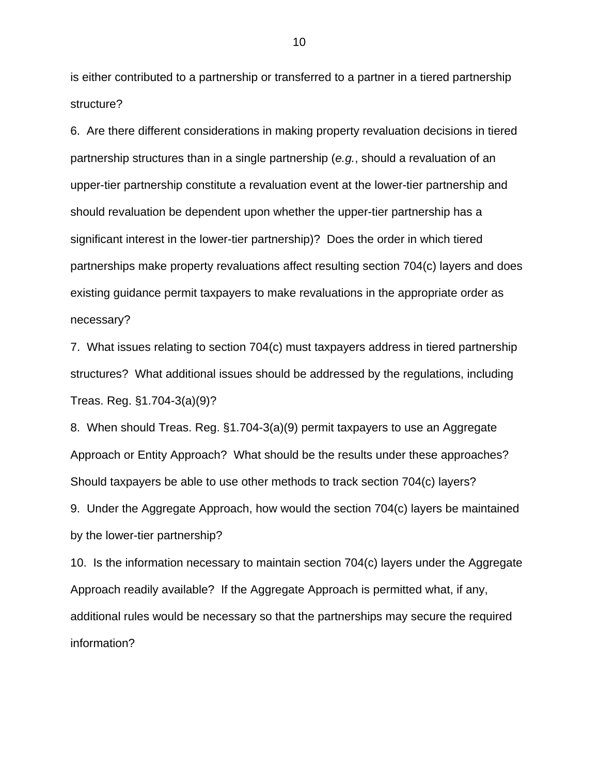is either contributed to a partnership or transferred to a partner in a tiered partnership structure?

6. Are there different considerations in making property revaluation decisions in tiered partnership structures than in a single partnership (*e.g.*, should a revaluation of an upper-tier partnership constitute a revaluation event at the lower-tier partnership and should revaluation be dependent upon whether the upper-tier partnership has a significant interest in the lower-tier partnership)? Does the order in which tiered partnerships make property revaluations affect resulting section 704(c) layers and does existing guidance permit taxpayers to make revaluations in the appropriate order as necessary?

7. What issues relating to section 704(c) must taxpayers address in tiered partnership structures? What additional issues should be addressed by the regulations, including Treas. Reg. §1.704-3(a)(9)?

8. When should Treas. Reg. §1.704-3(a)(9) permit taxpayers to use an Aggregate Approach or Entity Approach? What should be the results under these approaches? Should taxpayers be able to use other methods to track section 704(c) layers?

9. Under the Aggregate Approach, how would the section 704(c) layers be maintained by the lower-tier partnership?

10. Is the information necessary to maintain section 704(c) layers under the Aggregate Approach readily available? If the Aggregate Approach is permitted what, if any, additional rules would be necessary so that the partnerships may secure the required information?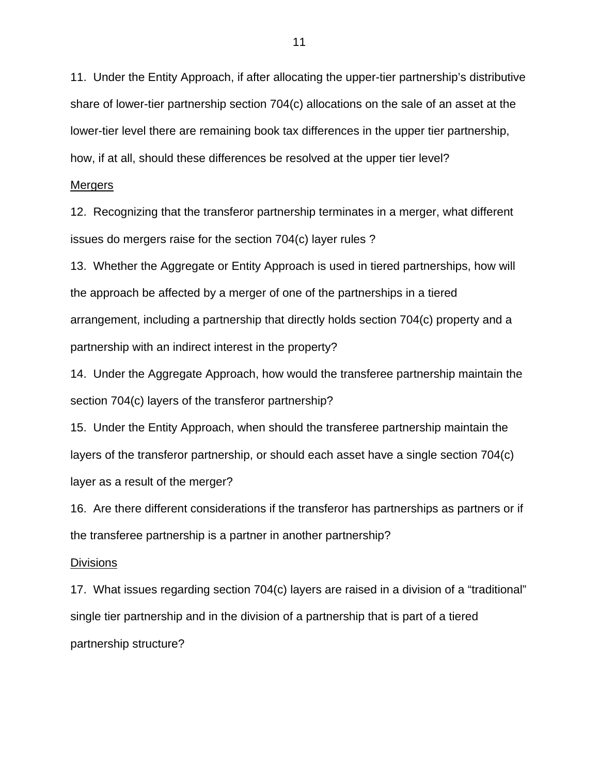11. Under the Entity Approach, if after allocating the upper-tier partnership's distributive share of lower-tier partnership section 704(c) allocations on the sale of an asset at the lower-tier level there are remaining book tax differences in the upper tier partnership, how, if at all, should these differences be resolved at the upper tier level?

#### Mergers

12. Recognizing that the transferor partnership terminates in a merger, what different issues do mergers raise for the section 704(c) layer rules ?

13. Whether the Aggregate or Entity Approach is used in tiered partnerships, how will the approach be affected by a merger of one of the partnerships in a tiered arrangement, including a partnership that directly holds section 704(c) property and a partnership with an indirect interest in the property?

14. Under the Aggregate Approach, how would the transferee partnership maintain the section 704(c) layers of the transferor partnership?

15. Under the Entity Approach, when should the transferee partnership maintain the layers of the transferor partnership, or should each asset have a single section 704(c) layer as a result of the merger?

16. Are there different considerations if the transferor has partnerships as partners or if the transferee partnership is a partner in another partnership?

#### **Divisions**

17. What issues regarding section 704(c) layers are raised in a division of a "traditional" single tier partnership and in the division of a partnership that is part of a tiered partnership structure?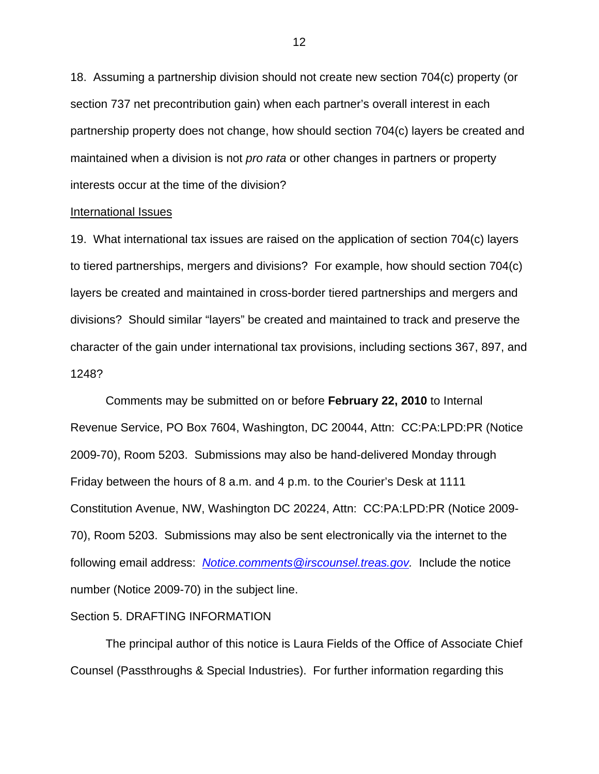18. Assuming a partnership division should not create new section 704(c) property (or section 737 net precontribution gain) when each partner's overall interest in each partnership property does not change, how should section 704(c) layers be created and maintained when a division is not *pro rata* or other changes in partners or property interests occur at the time of the division?

#### International Issues

19. What international tax issues are raised on the application of section 704(c) layers to tiered partnerships, mergers and divisions? For example, how should section 704(c) layers be created and maintained in cross-border tiered partnerships and mergers and divisions? Should similar "layers" be created and maintained to track and preserve the character of the gain under international tax provisions, including sections 367, 897, and 1248?

Comments may be submitted on or before **February 22, 2010** to Internal Revenue Service, PO Box 7604, Washington, DC 20044, Attn: CC:PA:LPD:PR (Notice 2009-70), Room 5203. Submissions may also be hand-delivered Monday through Friday between the hours of 8 a.m. and 4 p.m. to the Courier's Desk at 1111 Constitution Avenue, NW, Washington DC 20224, Attn: CC:PA:LPD:PR (Notice 2009- 70), Room 5203. Submissions may also be sent electronically via the internet to the following email address: *[Notice.comments@irscounsel.treas.gov](mailto:Notice.comments@irscounsel.treas.gov).* Include the notice number (Notice 2009-70) in the subject line.

### Section 5. DRAFTING INFORMATION

The principal author of this notice is Laura Fields of the Office of Associate Chief Counsel (Passthroughs & Special Industries). For further information regarding this